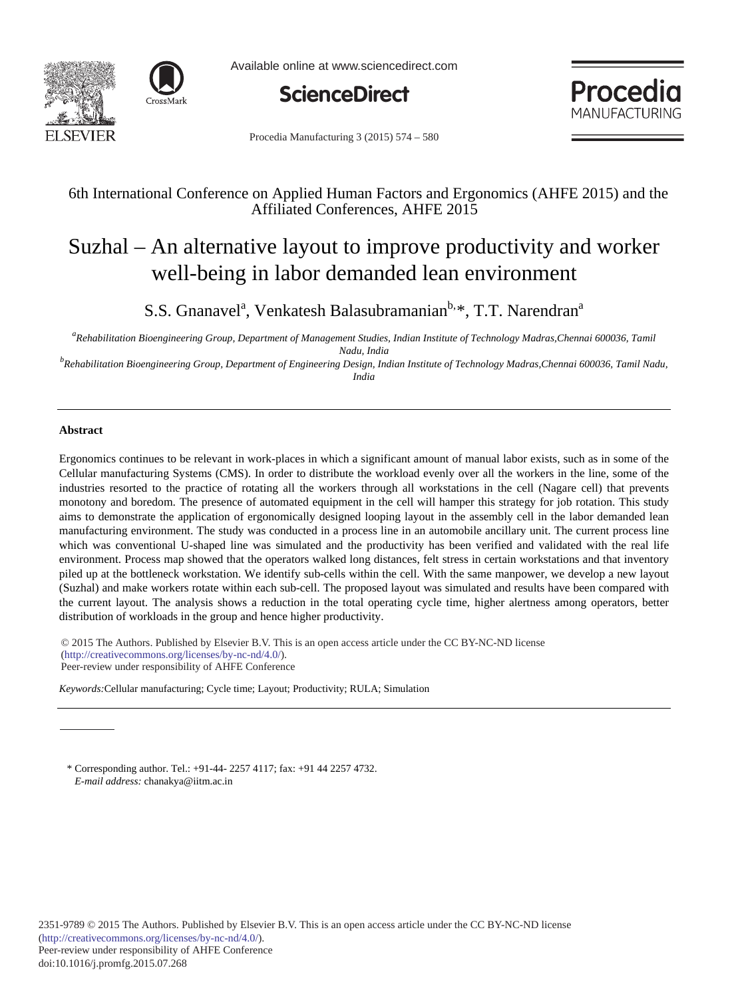



Available online at www.sciencedirect.com





Procedia Manufacturing 3 (2015) 574 - 580

# 6th International Conference on Applied Human Factors and Ergonomics (AHFE 2015) and the Affiliated Conferences, AHFE 2015

# Suzhal – An alternative layout to improve productivity and worker well-being in labor demanded lean environment

S.S. Gnanavel<sup>a</sup>, Venkatesh Balasubramanian<sup>b, \*</sup>, T.T. Narendran<sup>a</sup>

*a Rehabilitation Bioengineering Group, Department of Management Studies, Indian Institute of Technology Madras,Chennai 600036, Tamil* 

*Nadu, India <sup>b</sup> Rehabilitation Bioengineering Group, Department of Engineering Design, Indian Institute of Technology Madras,Chennai 600036, Tamil Nadu, India*

# **Abstract**

Ergonomics continues to be relevant in work-places in which a significant amount of manual labor exists, such as in some of the Cellular manufacturing Systems (CMS). In order to distribute the workload evenly over all the workers in the line, some of the industries resorted to the practice of rotating all the workers through all workstations in the cell (Nagare cell) that prevents monotony and boredom. The presence of automated equipment in the cell will hamper this strategy for job rotation. This study aims to demonstrate the application of ergonomically designed looping layout in the assembly cell in the labor demanded lean manufacturing environment. The study was conducted in a process line in an automobile ancillary unit. The current process line which was conventional U-shaped line was simulated and the productivity has been verified and validated with the real life environment. Process map showed that the operators walked long distances, felt stress in certain workstations and that inventory piled up at the bottleneck workstation. We identify sub-cells within the cell. With the same manpower, we develop a new layout (Suzhal) and make workers rotate within each sub-cell. The proposed layout was simulated and results have been compared with the current layout. The analysis shows a reduction in the total operating cycle time, higher alertness among operators, better distribution of workloads in the group and hence higher productivity.

© 2015 The Authors. Published by Elsevier B.V. © 2015 The Authors. Published by Elsevier B.V. This is an open access article under the CC BY-NC-ND license (http://creativecommons.org/licenses/by-nc-nd/4.0/).<br>Regularizative under responsibility of AHFE Conference. Peer-review under responsibility of AHFE Conference

*Keywords:*Cellular manufacturing; Cycle time; Layout; Productivity; RULA; Simulation

\* Corresponding author. Tel.: +91-44- 2257 4117; fax: +91 44 2257 4732. *E-mail address:* chanakya@iitm.ac.in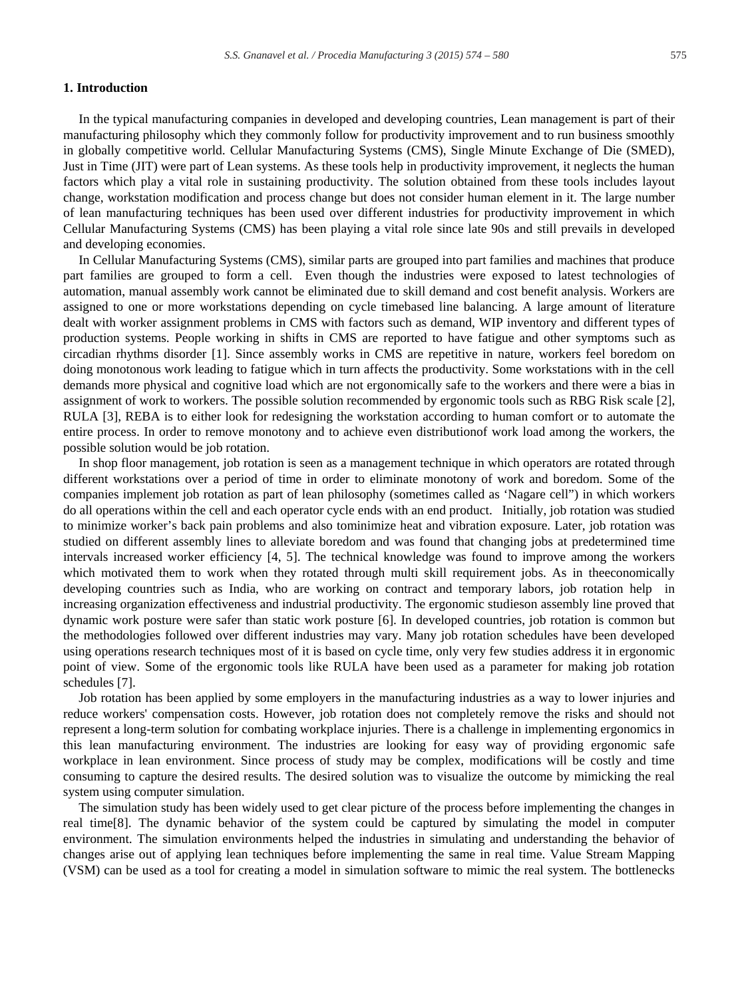# **1. Introduction**

In the typical manufacturing companies in developed and developing countries, Lean management is part of their manufacturing philosophy which they commonly follow for productivity improvement and to run business smoothly in globally competitive world. Cellular Manufacturing Systems (CMS), Single Minute Exchange of Die (SMED), Just in Time (JIT) were part of Lean systems. As these tools help in productivity improvement, it neglects the human factors which play a vital role in sustaining productivity. The solution obtained from these tools includes layout change, workstation modification and process change but does not consider human element in it. The large number of lean manufacturing techniques has been used over different industries for productivity improvement in which Cellular Manufacturing Systems (CMS) has been playing a vital role since late 90s and still prevails in developed and developing economies.

In Cellular Manufacturing Systems (CMS), similar parts are grouped into part families and machines that produce part families are grouped to form a cell. Even though the industries were exposed to latest technologies of automation, manual assembly work cannot be eliminated due to skill demand and cost benefit analysis. Workers are assigned to one or more workstations depending on cycle timebased line balancing. A large amount of literature dealt with worker assignment problems in CMS with factors such as demand, WIP inventory and different types of production systems. People working in shifts in CMS are reported to have fatigue and other symptoms such as circadian rhythms disorder [1]. Since assembly works in CMS are repetitive in nature, workers feel boredom on doing monotonous work leading to fatigue which in turn affects the productivity. Some workstations with in the cell demands more physical and cognitive load which are not ergonomically safe to the workers and there were a bias in assignment of work to workers. The possible solution recommended by ergonomic tools such as RBG Risk scale [2], RULA [3], REBA is to either look for redesigning the workstation according to human comfort or to automate the entire process. In order to remove monotony and to achieve even distributionof work load among the workers, the possible solution would be job rotation.

In shop floor management, job rotation is seen as a management technique in which operators are rotated through different workstations over a period of time in order to eliminate monotony of work and boredom. Some of the companies implement job rotation as part of lean philosophy (sometimes called as 'Nagare cell") in which workers do all operations within the cell and each operator cycle ends with an end product. Initially, job rotation was studied to minimize worker's back pain problems and also tominimize heat and vibration exposure. Later, job rotation was studied on different assembly lines to alleviate boredom and was found that changing jobs at predetermined time intervals increased worker efficiency [4, 5]. The technical knowledge was found to improve among the workers which motivated them to work when they rotated through multi skill requirement jobs. As in theeconomically developing countries such as India, who are working on contract and temporary labors, job rotation help in increasing organization effectiveness and industrial productivity. The ergonomic studieson assembly line proved that dynamic work posture were safer than static work posture [6]. In developed countries, job rotation is common but the methodologies followed over different industries may vary. Many job rotation schedules have been developed using operations research techniques most of it is based on cycle time, only very few studies address it in ergonomic point of view. Some of the ergonomic tools like RULA have been used as a parameter for making job rotation schedules [7].

Job rotation has been applied by some employers in the manufacturing industries as a way to lower injuries and reduce workers' compensation costs. However, job rotation does not completely remove the risks and should not represent a long-term solution for combating workplace injuries. There is a challenge in implementing ergonomics in this lean manufacturing environment. The industries are looking for easy way of providing ergonomic safe workplace in lean environment. Since process of study may be complex, modifications will be costly and time consuming to capture the desired results. The desired solution was to visualize the outcome by mimicking the real system using computer simulation.

The simulation study has been widely used to get clear picture of the process before implementing the changes in real time[8]. The dynamic behavior of the system could be captured by simulating the model in computer environment. The simulation environments helped the industries in simulating and understanding the behavior of changes arise out of applying lean techniques before implementing the same in real time. Value Stream Mapping (VSM) can be used as a tool for creating a model in simulation software to mimic the real system. The bottlenecks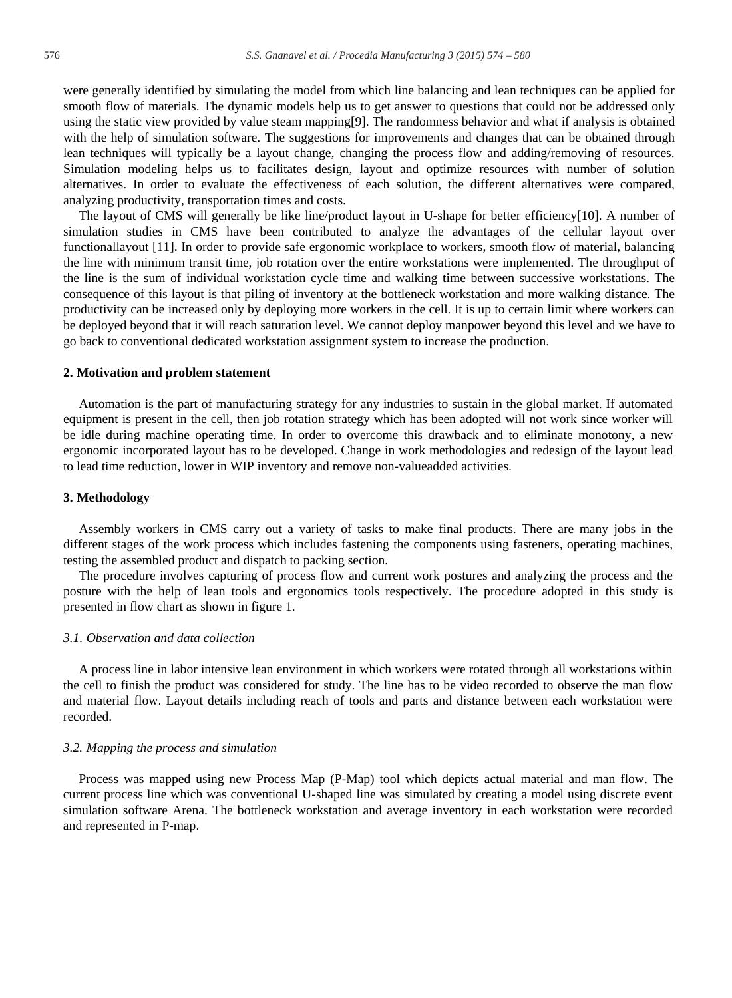were generally identified by simulating the model from which line balancing and lean techniques can be applied for smooth flow of materials. The dynamic models help us to get answer to questions that could not be addressed only using the static view provided by value steam mapping[9]. The randomness behavior and what if analysis is obtained with the help of simulation software. The suggestions for improvements and changes that can be obtained through lean techniques will typically be a layout change, changing the process flow and adding/removing of resources. Simulation modeling helps us to facilitates design, layout and optimize resources with number of solution alternatives. In order to evaluate the effectiveness of each solution, the different alternatives were compared, analyzing productivity, transportation times and costs.

The layout of CMS will generally be like line/product layout in U-shape for better efficiency[10]. A number of simulation studies in CMS have been contributed to analyze the advantages of the cellular layout over functionallayout [11]. In order to provide safe ergonomic workplace to workers, smooth flow of material, balancing the line with minimum transit time, job rotation over the entire workstations were implemented. The throughput of the line is the sum of individual workstation cycle time and walking time between successive workstations. The consequence of this layout is that piling of inventory at the bottleneck workstation and more walking distance. The productivity can be increased only by deploying more workers in the cell. It is up to certain limit where workers can be deployed beyond that it will reach saturation level. We cannot deploy manpower beyond this level and we have to go back to conventional dedicated workstation assignment system to increase the production.

#### **2. Motivation and problem statement**

Automation is the part of manufacturing strategy for any industries to sustain in the global market. If automated equipment is present in the cell, then job rotation strategy which has been adopted will not work since worker will be idle during machine operating time. In order to overcome this drawback and to eliminate monotony, a new ergonomic incorporated layout has to be developed. Change in work methodologies and redesign of the layout lead to lead time reduction, lower in WIP inventory and remove non-valueadded activities.

#### **3. Methodology**

Assembly workers in CMS carry out a variety of tasks to make final products. There are many jobs in the different stages of the work process which includes fastening the components using fasteners, operating machines, testing the assembled product and dispatch to packing section.

The procedure involves capturing of process flow and current work postures and analyzing the process and the posture with the help of lean tools and ergonomics tools respectively. The procedure adopted in this study is presented in flow chart as shown in figure 1.

#### *3.1. Observation and data collection*

A process line in labor intensive lean environment in which workers were rotated through all workstations within the cell to finish the product was considered for study. The line has to be video recorded to observe the man flow and material flow. Layout details including reach of tools and parts and distance between each workstation were recorded.

#### *3.2. Mapping the process and simulation*

Process was mapped using new Process Map (P-Map) tool which depicts actual material and man flow. The current process line which was conventional U-shaped line was simulated by creating a model using discrete event simulation software Arena. The bottleneck workstation and average inventory in each workstation were recorded and represented in P-map.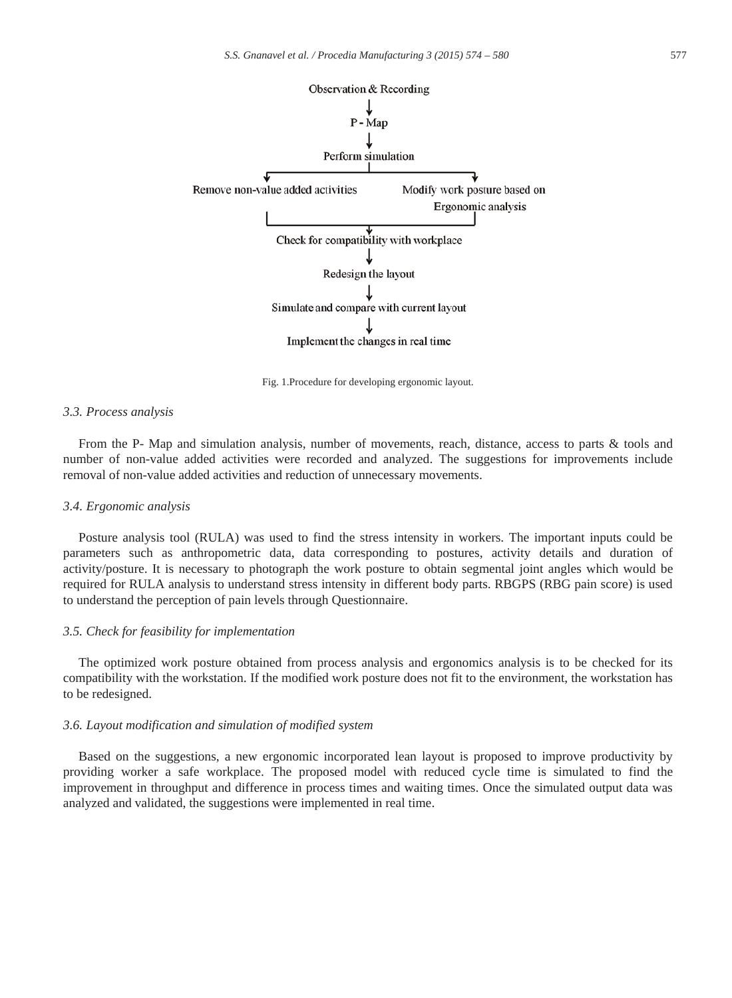

Fig. 1.Procedure for developing ergonomic layout.

# *3.3. Process analysis*

From the P- Map and simulation analysis, number of movements, reach, distance, access to parts & tools and number of non-value added activities were recorded and analyzed. The suggestions for improvements include removal of non-value added activities and reduction of unnecessary movements.

### *3.4. Ergonomic analysis*

Posture analysis tool (RULA) was used to find the stress intensity in workers. The important inputs could be parameters such as anthropometric data, data corresponding to postures, activity details and duration of activity/posture. It is necessary to photograph the work posture to obtain segmental joint angles which would be required for RULA analysis to understand stress intensity in different body parts. RBGPS (RBG pain score) is used to understand the perception of pain levels through Questionnaire.

### *3.5. Check for feasibility for implementation*

The optimized work posture obtained from process analysis and ergonomics analysis is to be checked for its compatibility with the workstation. If the modified work posture does not fit to the environment, the workstation has to be redesigned.

#### *3.6. Layout modification and simulation of modified system*

Based on the suggestions, a new ergonomic incorporated lean layout is proposed to improve productivity by providing worker a safe workplace. The proposed model with reduced cycle time is simulated to find the improvement in throughput and difference in process times and waiting times. Once the simulated output data was analyzed and validated, the suggestions were implemented in real time.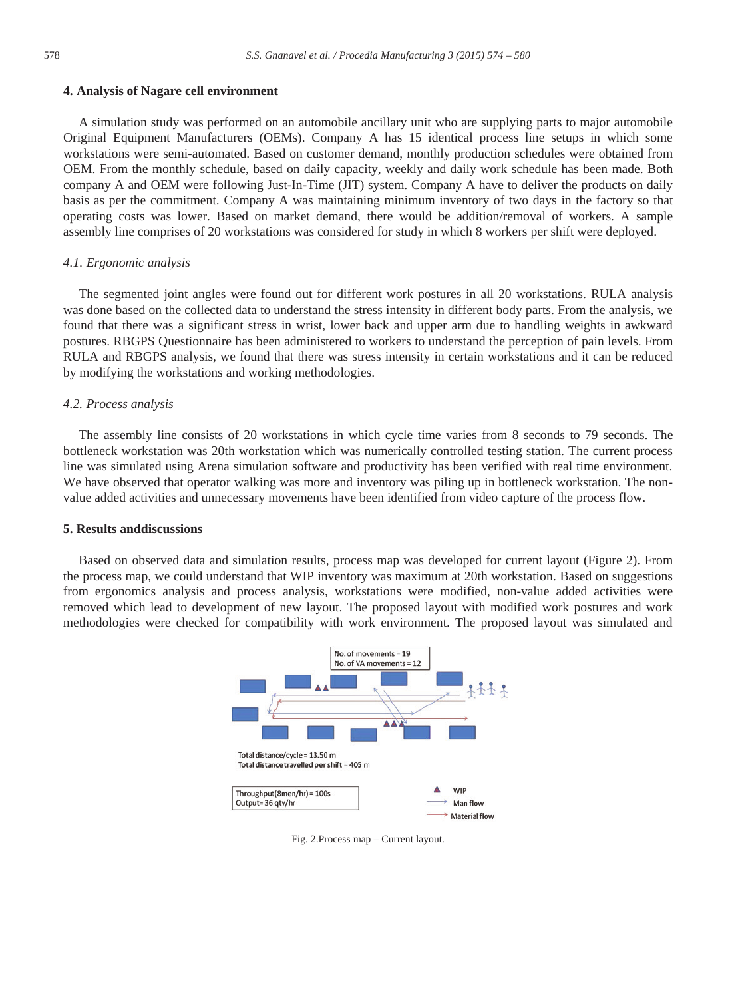#### **4. Analysis of Nagare cell environment**

A simulation study was performed on an automobile ancillary unit who are supplying parts to major automobile Original Equipment Manufacturers (OEMs). Company A has 15 identical process line setups in which some workstations were semi-automated. Based on customer demand, monthly production schedules were obtained from OEM. From the monthly schedule, based on daily capacity, weekly and daily work schedule has been made. Both company A and OEM were following Just-In-Time (JIT) system. Company A have to deliver the products on daily basis as per the commitment. Company A was maintaining minimum inventory of two days in the factory so that operating costs was lower. Based on market demand, there would be addition/removal of workers. A sample assembly line comprises of 20 workstations was considered for study in which 8 workers per shift were deployed.

# *4.1. Ergonomic analysis*

The segmented joint angles were found out for different work postures in all 20 workstations. RULA analysis was done based on the collected data to understand the stress intensity in different body parts. From the analysis, we found that there was a significant stress in wrist, lower back and upper arm due to handling weights in awkward postures. RBGPS Questionnaire has been administered to workers to understand the perception of pain levels. From RULA and RBGPS analysis, we found that there was stress intensity in certain workstations and it can be reduced by modifying the workstations and working methodologies.

# *4.2. Process analysis*

The assembly line consists of 20 workstations in which cycle time varies from 8 seconds to 79 seconds. The bottleneck workstation was 20th workstation which was numerically controlled testing station. The current process line was simulated using Arena simulation software and productivity has been verified with real time environment. We have observed that operator walking was more and inventory was piling up in bottleneck workstation. The nonvalue added activities and unnecessary movements have been identified from video capture of the process flow.

# **5. Results anddiscussions**

Based on observed data and simulation results, process map was developed for current layout (Figure 2). From the process map, we could understand that WIP inventory was maximum at 20th workstation. Based on suggestions from ergonomics analysis and process analysis, workstations were modified, non-value added activities were removed which lead to development of new layout. The proposed layout with modified work postures and work methodologies were checked for compatibility with work environment. The proposed layout was simulated and



Fig. 2.Process map – Current layout.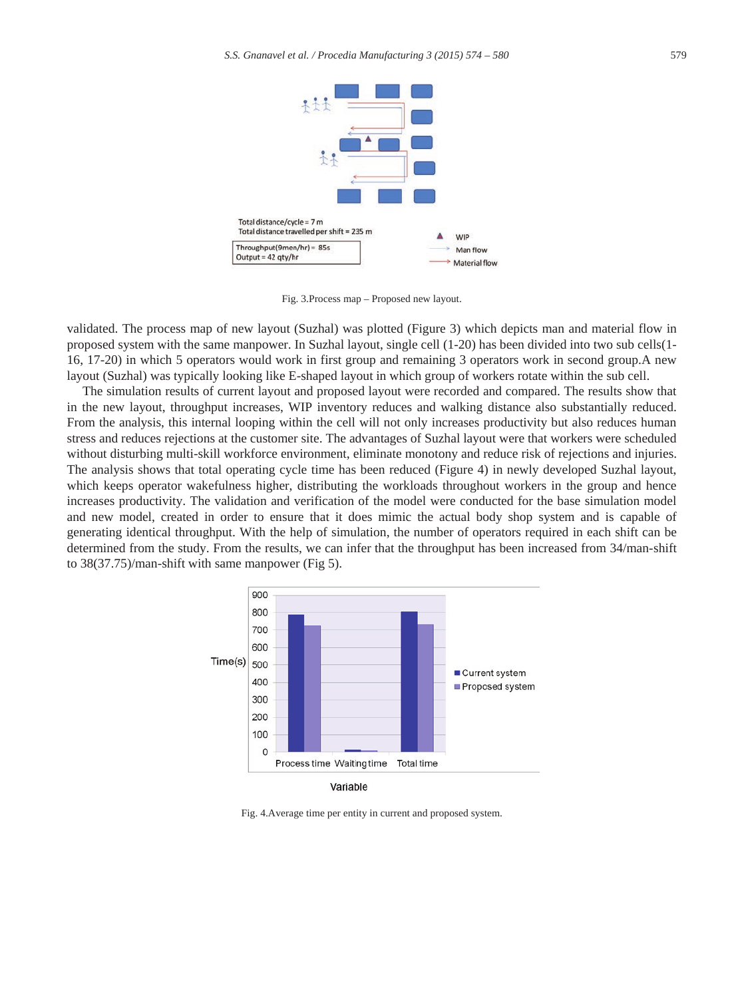

Fig. 3.Process map – Proposed new layout.

validated. The process map of new layout (Suzhal) was plotted (Figure 3) which depicts man and material flow in proposed system with the same manpower. In Suzhal layout, single cell (1-20) has been divided into two sub cells(1- 16, 17-20) in which 5 operators would work in first group and remaining 3 operators work in second group.A new layout (Suzhal) was typically looking like E-shaped layout in which group of workers rotate within the sub cell.

The simulation results of current layout and proposed layout were recorded and compared. The results show that in the new layout, throughput increases, WIP inventory reduces and walking distance also substantially reduced. From the analysis, this internal looping within the cell will not only increases productivity but also reduces human stress and reduces rejections at the customer site. The advantages of Suzhal layout were that workers were scheduled without disturbing multi-skill workforce environment, eliminate monotony and reduce risk of rejections and injuries. The analysis shows that total operating cycle time has been reduced (Figure 4) in newly developed Suzhal layout, which keeps operator wakefulness higher, distributing the workloads throughout workers in the group and hence increases productivity. The validation and verification of the model were conducted for the base simulation model and new model, created in order to ensure that it does mimic the actual body shop system and is capable of generating identical throughput. With the help of simulation, the number of operators required in each shift can be determined from the study. From the results, we can infer that the throughput has been increased from 34/man-shift to 38(37.75)/man-shift with same manpower (Fig 5).



Fig. 4.Average time per entity in current and proposed system.